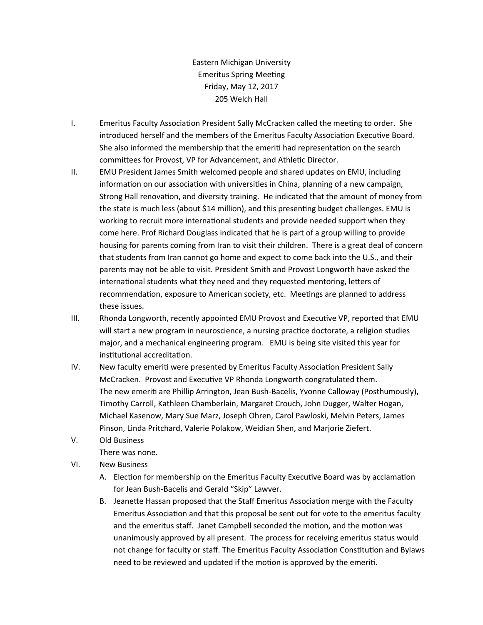Eastern Michigan University Emeritus Spring Meeting Friday, May 12, 2017 205 Welch Hall

- I. Emeritus Faculty Association President Sally McCracken called the meeting to order. She introduced herself and the members of the Emeritus Faculty Association Executive Board. She also informed the membership that the emeriti had representation on the search committees for Provost, VP for Advancement, and Athletic Director.
- II. EMU President James Smith welcomed people and shared updates on EMU, including information on our association with universities in China, planning of a new campaign, Strong Hall renovation, and diversity training. He indicated that the amount of money from the state is much less (about \$14 million), and this presenting budget challenges. EMU is working to recruit more international students and provide needed support when they come here. Prof Richard Douglass indicated that he is part of a group willing to provide housing for parents coming from Iran to visit their children. There is a great deal of concern that students from Iran cannot go home and expect to come back into the U.S., and their parents may not be able to visit. President Smith and Provost Longworth have asked the international students what they need and they requested mentoring, letters of recommendation, exposure to American society, etc. Meetings are planned to address these issues.
- III. Rhonda Longworth, recently appointed EMU Provost and Executive VP, reported that EMU will start a new program in neuroscience, a nursing practice doctorate, a religion studies major, and a mechanical engineering program. EMU is being site visited this year for institutional accreditation.
- IV. New faculty emeriti were presented by Emeritus Faculty Association President Sally McCracken. Provost and Executive VP Rhonda Longworth congratulated them. The new emeriti are Phillip Arrington, Jean Bush-Bacelis, Yvonne Calloway (Posthumously), Timothy Carroll, Kathleen Chamberlain, Margaret Crouch, John Dugger, Walter Hogan, Michael Kasenow, Mary Sue Marz, Joseph Ohren, Carol Pawloski, Melvin Peters, James Pinson, Linda Pritchard, Valerie Polakow, Weidian Shen, and Marjorie Ziefert.
- V. Old Business There was none.
- VI. New Business
	- A. Election for membership on the Emeritus Faculty Executive Board was by acclamation for Jean Bush-Bacelis and Gerald "Skip" Lawver.
	- B. Jeanette Hassan proposed that the Staff Emeritus Association merge with the Faculty Emeritus Association and that this proposal be sent out for vote to the emeritus faculty and the emeritus staff. Janet Campbell seconded the motion, and the motion was unanimously approved by all present. The process for receiving emeritus status would not change for faculty or staff. The Emeritus Faculty Association Constitution and Bylaws need to be reviewed and updated if the motion is approved by the emeriti.